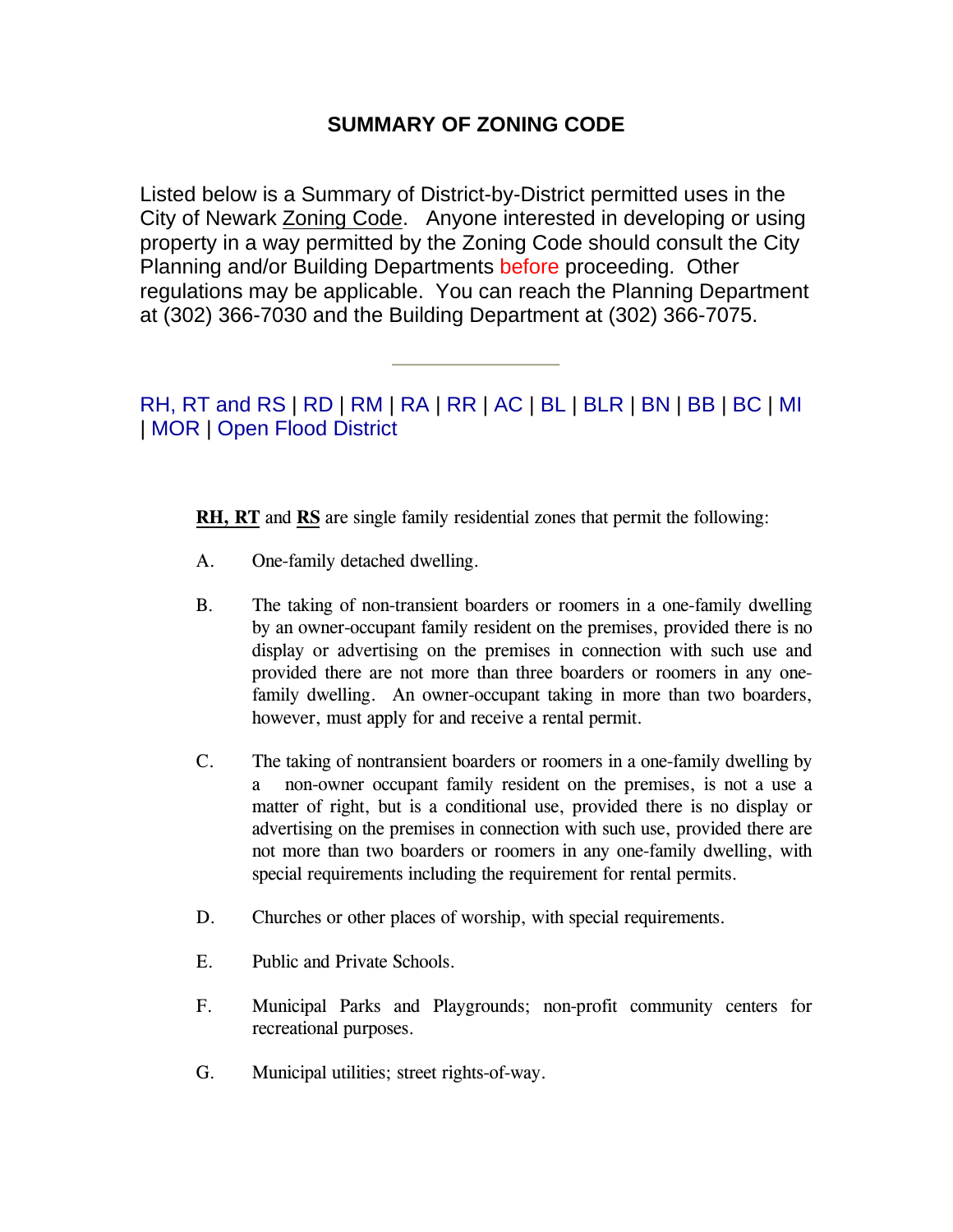## **SUMMARY OF ZONING CODE**

Listed below is a Summary of District-by-District permitted uses in the City of Newark Zoning Code. Anyone interested in developing or using property in a way permitted by the Zoning Code should consult the City Planning and/or Building Departments before proceeding. Other regulations may be applicable. You can reach the Planning Department at (302) 366-7030 and the Building Department at (302) 366-7075.

RH, RT and RS | [RD](#page-2-0) | [RM](#page-4-0) | [RA](#page-8-0) | [RR](#page-9-0) | [AC](#page-11-0) | [BL](#page-11-0) | [BLR](#page-12-0) | [BN |](#page-14-0) [BB](#page-15-0) | [BC](#page-17-0) | [MI](#page-20-0) | [MOR](#page-21-0) | [Open Flood District](#page-22-0)

**RH, RT** and **RS** are single family residential zones that permit the following:

- A. One-family detached dwelling.
- B. The taking of non-transient boarders or roomers in a one-family dwelling by an owner-occupant family resident on the premises, provided there is no display or advertising on the premises in connection with such use and provided there are not more than three boarders or roomers in any onefamily dwelling. An owner-occupant taking in more than two boarders, however, must apply for and receive a rental permit.
- C. The taking of nontransient boarders or roomers in a one-family dwelling by a non-owner occupant family resident on the premises, is not a use a matter of right, but is a conditional use, provided there is no display or advertising on the premises in connection with such use, provided there are not more than two boarders or roomers in any one-family dwelling, with special requirements including the requirement for rental permits.
- D. Churches or other places of worship, with special requirements.
- E. Public and Private Schools.
- F. Municipal Parks and Playgrounds; non-profit community centers for recreational purposes.
- G. Municipal utilities; street rights-of-way.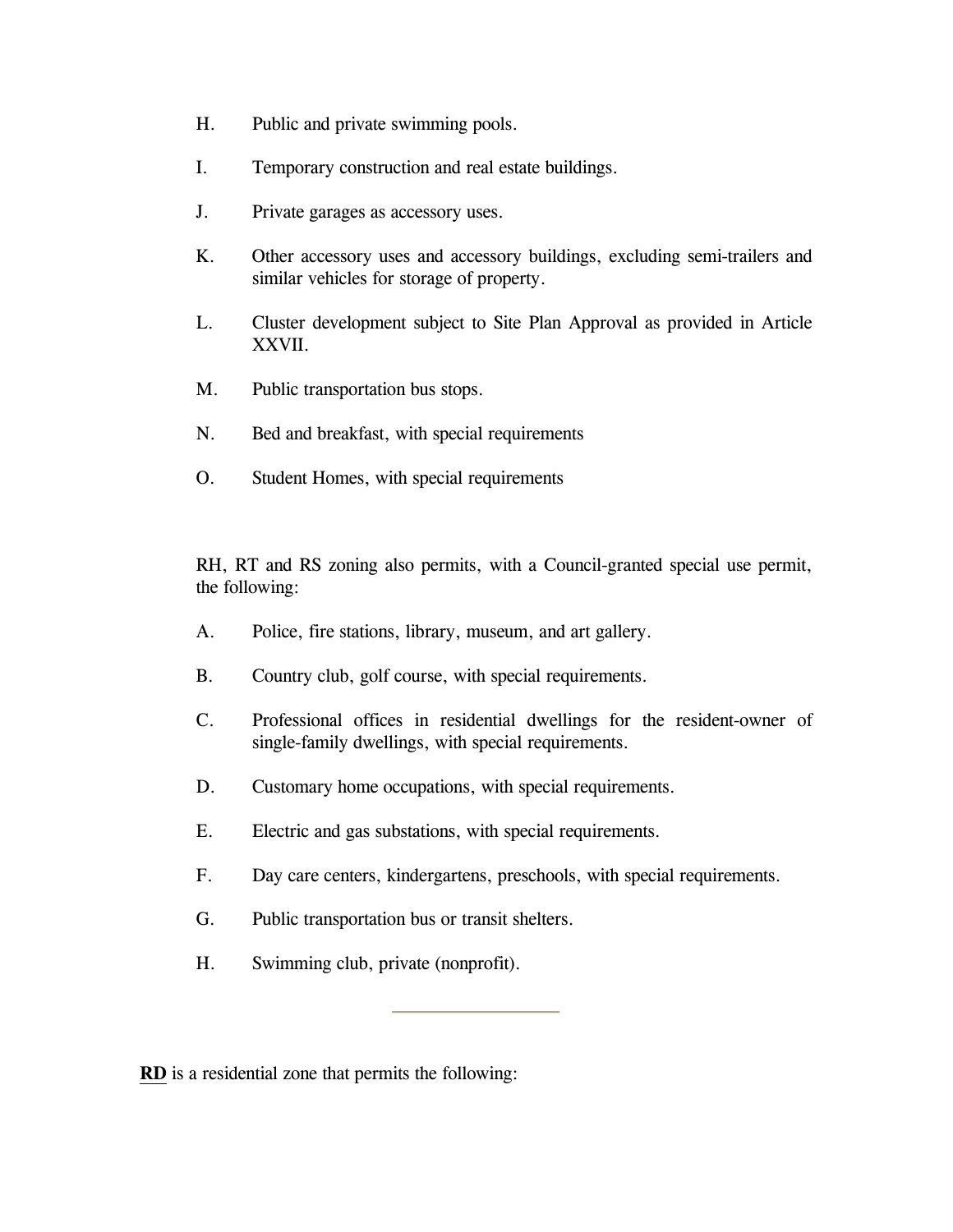- H. Public and private swimming pools.
- I. Temporary construction and real estate buildings.
- J. Private garages as accessory uses.
- K. Other accessory uses and accessory buildings, excluding semi-trailers and similar vehicles for storage of property.
- L. Cluster development subject to Site Plan Approval as provided in Article XXVII.
- M. Public transportation bus stops.
- N. Bed and breakfast, with special requirements
- O. Student Homes, with special requirements

RH, RT and RS zoning also permits, with a Council-granted special use permit, the following:

- A. Police, fire stations, library, museum, and art gallery.
- B. Country club, golf course, with special requirements.
- C. Professional offices in residential dwellings for the resident-owner of single-family dwellings, with special requirements.
- D. Customary home occupations, with special requirements.
- E. Electric and gas substations, with special requirements.
- F. Day care centers, kindergartens, preschools, with special requirements.
- G. Public transportation bus or transit shelters.
- H. Swimming club, private (nonprofit).

**RD** is a residential zone that permits the following: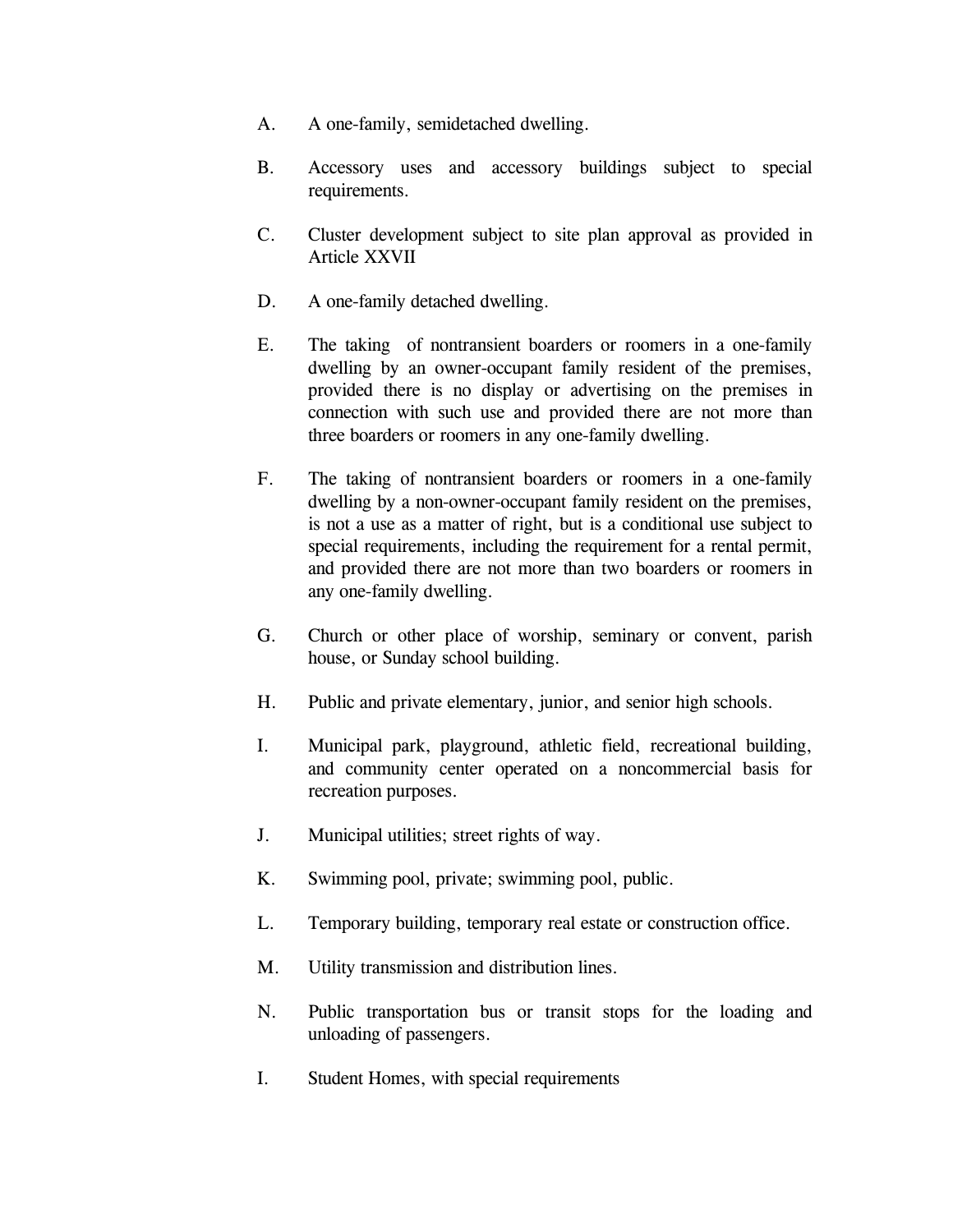- <span id="page-2-0"></span>A. A one-family, semidetached dwelling.
- B. Accessory uses and accessory buildings subject to special requirements.
- C. Cluster development subject to site plan approval as provided in Article XXVII
- D. A one-family detached dwelling.
- E. The taking of nontransient boarders or roomers in a one-family dwelling by an owner-occupant family resident of the premises, provided there is no display or advertising on the premises in connection with such use and provided there are not more than three boarders or roomers in any one-family dwelling.
- F. The taking of nontransient boarders or roomers in a one-family dwelling by a non-owner-occupant family resident on the premises, is not a use as a matter of right, but is a conditional use subject to special requirements, including the requirement for a rental permit, and provided there are not more than two boarders or roomers in any one-family dwelling.
- G. Church or other place of worship, seminary or convent, parish house, or Sunday school building.
- H. Public and private elementary, junior, and senior high schools.
- I. Municipal park, playground, athletic field, recreational building, and community center operated on a noncommercial basis for recreation purposes.
- J. Municipal utilities; street rights of way.
- K. Swimming pool, private; swimming pool, public.
- L. Temporary building, temporary real estate or construction office.
- M. Utility transmission and distribution lines.
- N. Public transportation bus or transit stops for the loading and unloading of passengers.
- I. Student Homes, with special requirements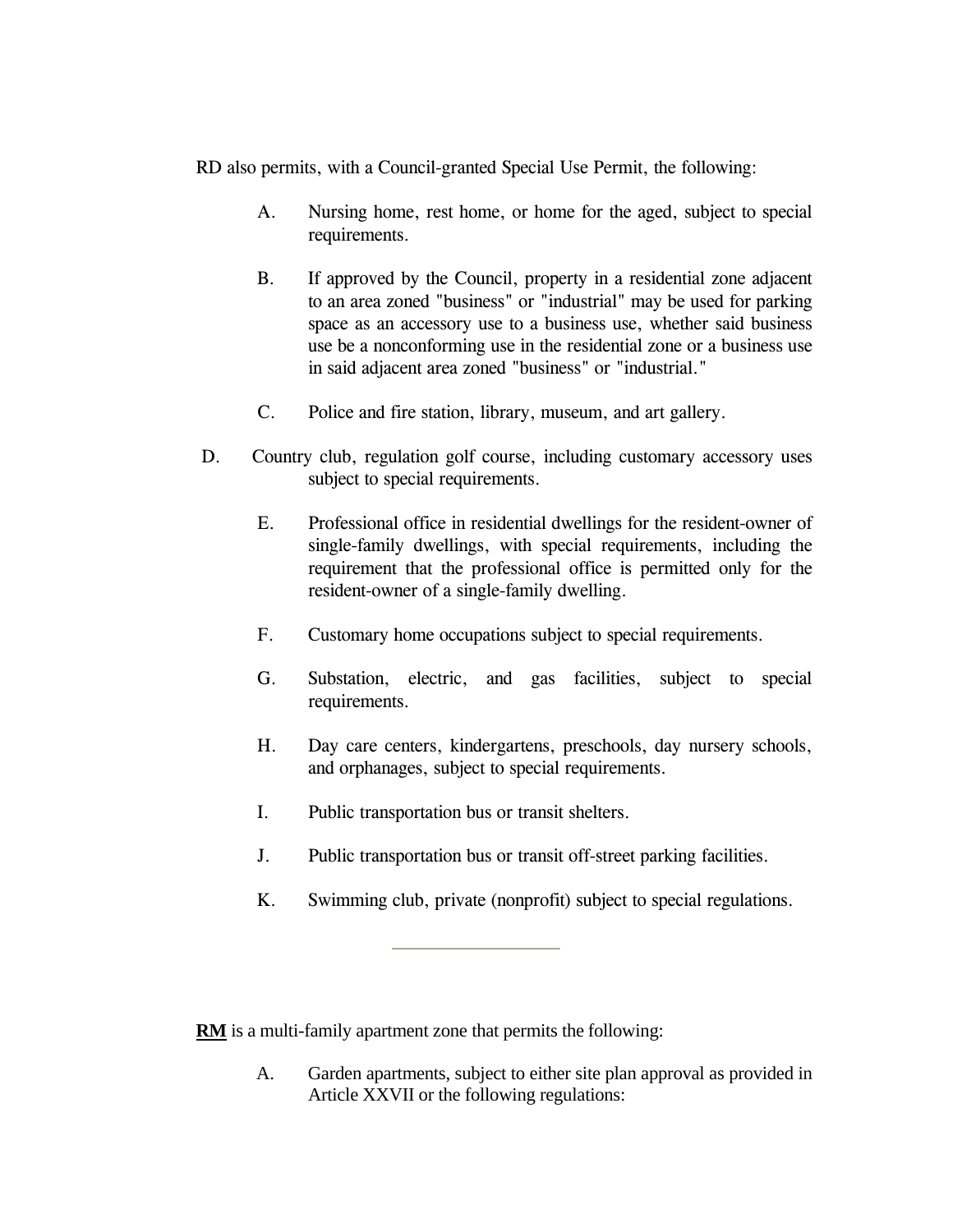RD also permits, with a Council-granted Special Use Permit, the following:

- A. Nursing home, rest home, or home for the aged, subject to special requirements.
- B. If approved by the Council, property in a residential zone adjacent to an area zoned "business" or "industrial" may be used for parking space as an accessory use to a business use, whether said business use be a nonconforming use in the residential zone or a business use in said adjacent area zoned "business" or "industrial."
- C. Police and fire station, library, museum, and art gallery.
- D. Country club, regulation golf course, including customary accessory uses subject to special requirements.
	- E. Professional office in residential dwellings for the resident-owner of single-family dwellings, with special requirements, including the requirement that the professional office is permitted only for the resident-owner of a single-family dwelling.
	- F. Customary home occupations subject to special requirements.
	- G. Substation, electric, and gas facilities, subject to special requirements.
	- H. Day care centers, kindergartens, preschools, day nursery schools, and orphanages, subject to special requirements.
	- I. Public transportation bus or transit shelters.
	- J. Public transportation bus or transit off-street parking facilities.
	- K. Swimming club, private (nonprofit) subject to special regulations.

**RM** is a multi-family apartment zone that permits the following:

A. Garden apartments, subject to either site plan approval as provided in Article XXVII or the following regulations: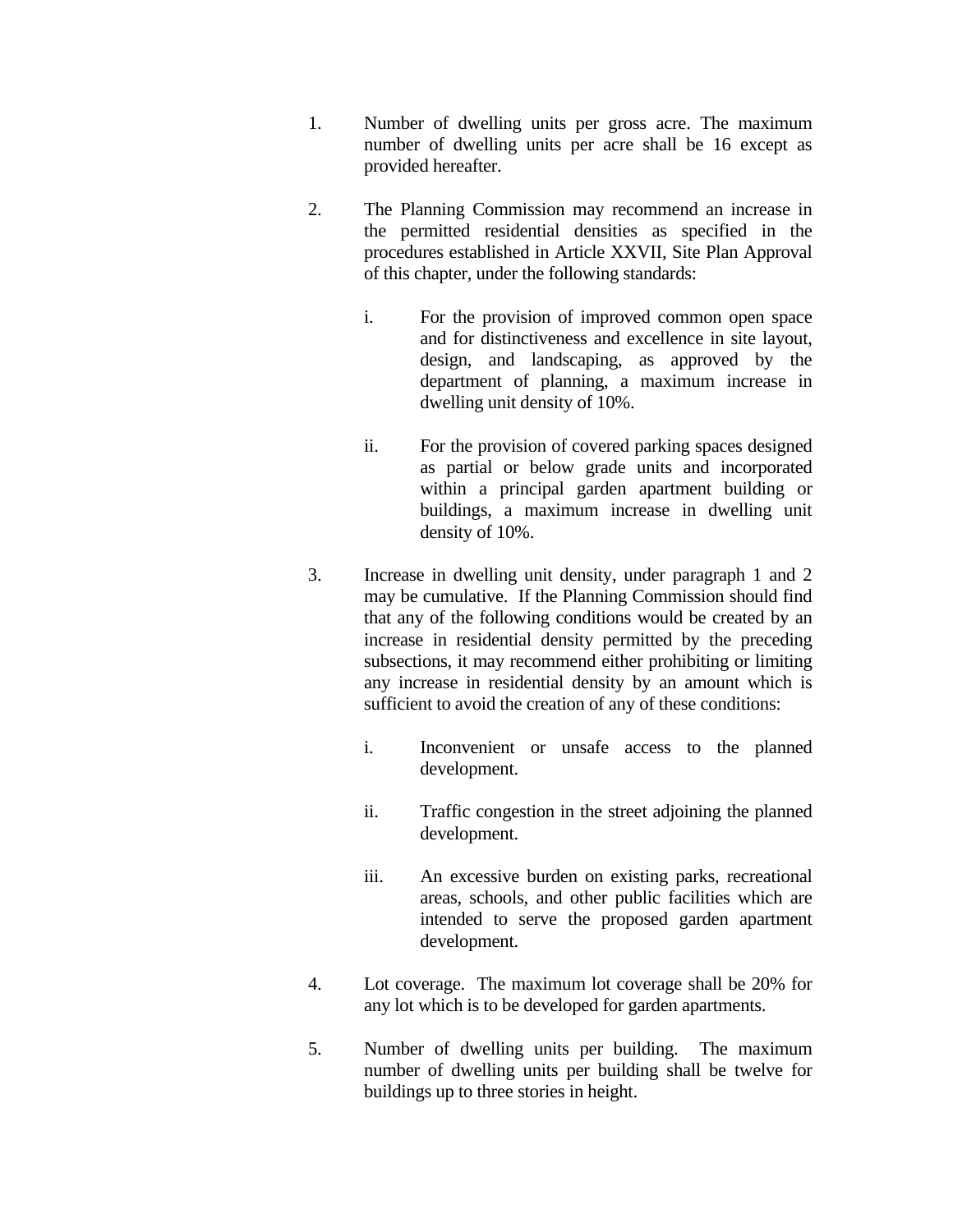- <span id="page-4-0"></span> 1. Number of dwelling units per gross acre. The maximum number of dwelling units per acre shall be 16 except as provided hereafter.
- 2. The Planning Commission may recommend an increase in the permitted residential densities as specified in the procedures established in Article XXVII, Site Plan Approval of this chapter, under the following standards:
	- i. For the provision of improved common open space and for distinctiveness and excellence in site layout, design, and landscaping, as approved by the department of planning, a maximum increase in dwelling unit density of 10%.
	- ii. For the provision of covered parking spaces designed as partial or below grade units and incorporated within a principal garden apartment building or buildings, a maximum increase in dwelling unit density of 10%.
- 3. Increase in dwelling unit density, under paragraph 1 and 2 may be cumulative. If the Planning Commission should find that any of the following conditions would be created by an increase in residential density permitted by the preceding subsections, it may recommend either prohibiting or limiting any increase in residential density by an amount which is sufficient to avoid the creation of any of these conditions:
	- i. Inconvenient or unsafe access to the planned development.
	- ii. Traffic congestion in the street adjoining the planned development.
	- iii. An excessive burden on existing parks, recreational areas, schools, and other public facilities which are intended to serve the proposed garden apartment development.
- 4. Lot coverage. The maximum lot coverage shall be 20% for any lot which is to be developed for garden apartments.
- 5. Number of dwelling units per building. The maximum number of dwelling units per building shall be twelve for buildings up to three stories in height.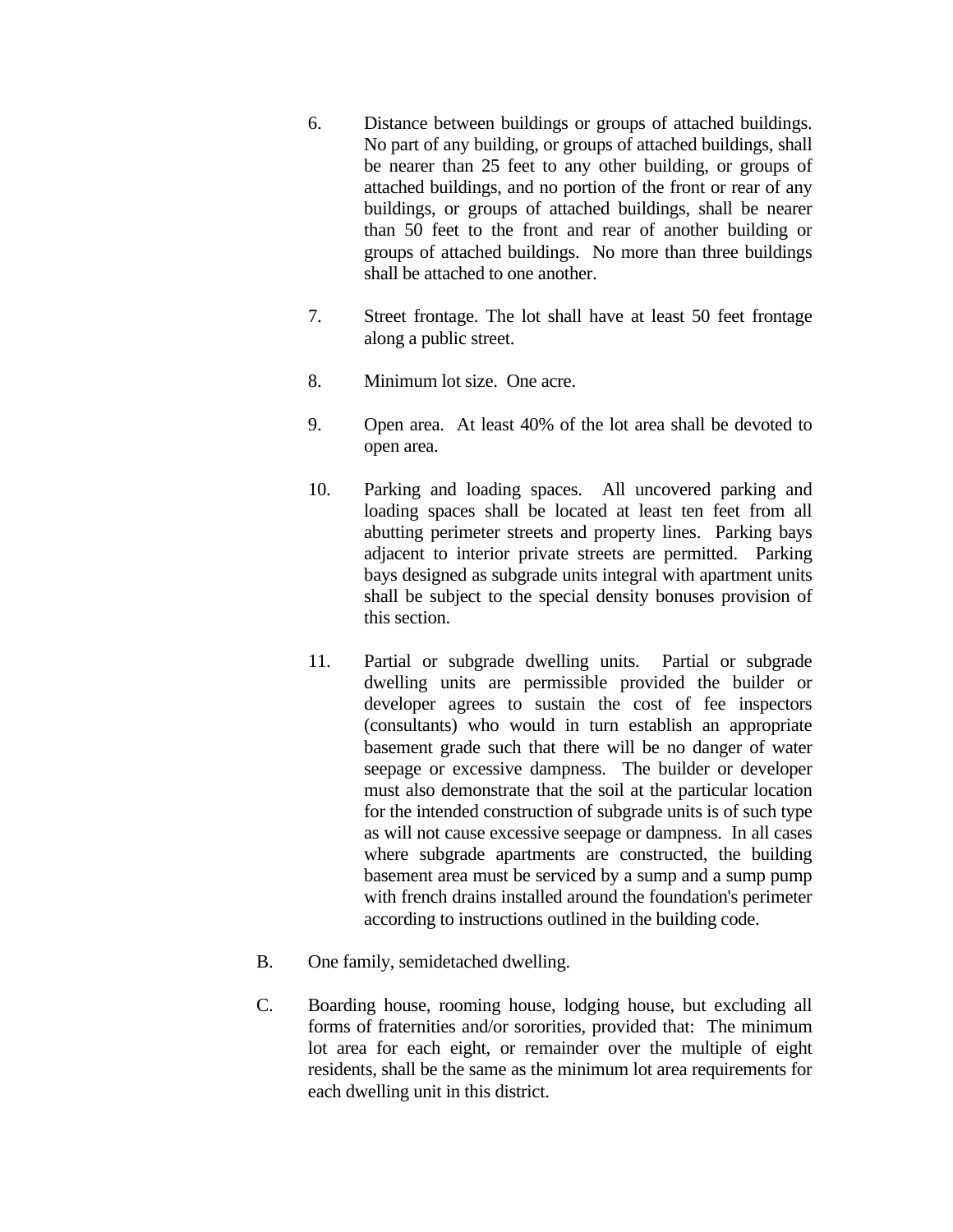- 6. Distance between buildings or groups of attached buildings. No part of any building, or groups of attached buildings, shall be nearer than 25 feet to any other building, or groups of attached buildings, and no portion of the front or rear of any buildings, or groups of attached buildings, shall be nearer than 50 feet to the front and rear of another building or groups of attached buildings. No more than three buildings shall be attached to one another.
- 7. Street frontage. The lot shall have at least 50 feet frontage along a public street.
- 8. Minimum lot size. One acre.
- 9. Open area. At least 40% of the lot area shall be devoted to open area.
- 10. Parking and loading spaces. All uncovered parking and loading spaces shall be located at least ten feet from all abutting perimeter streets and property lines. Parking bays adjacent to interior private streets are permitted. Parking bays designed as subgrade units integral with apartment units shall be subject to the special density bonuses provision of this section.
- 11. Partial or subgrade dwelling units. Partial or subgrade dwelling units are permissible provided the builder or developer agrees to sustain the cost of fee inspectors (consultants) who would in turn establish an appropriate basement grade such that there will be no danger of water seepage or excessive dampness. The builder or developer must also demonstrate that the soil at the particular location for the intended construction of subgrade units is of such type as will not cause excessive seepage or dampness. In all cases where subgrade apartments are constructed, the building basement area must be serviced by a sump and a sump pump with french drains installed around the foundation's perimeter according to instructions outlined in the building code.
- B. One family, semidetached dwelling.
- C. Boarding house, rooming house, lodging house, but excluding all forms of fraternities and/or sororities, provided that: The minimum lot area for each eight, or remainder over the multiple of eight residents, shall be the same as the minimum lot area requirements for each dwelling unit in this district.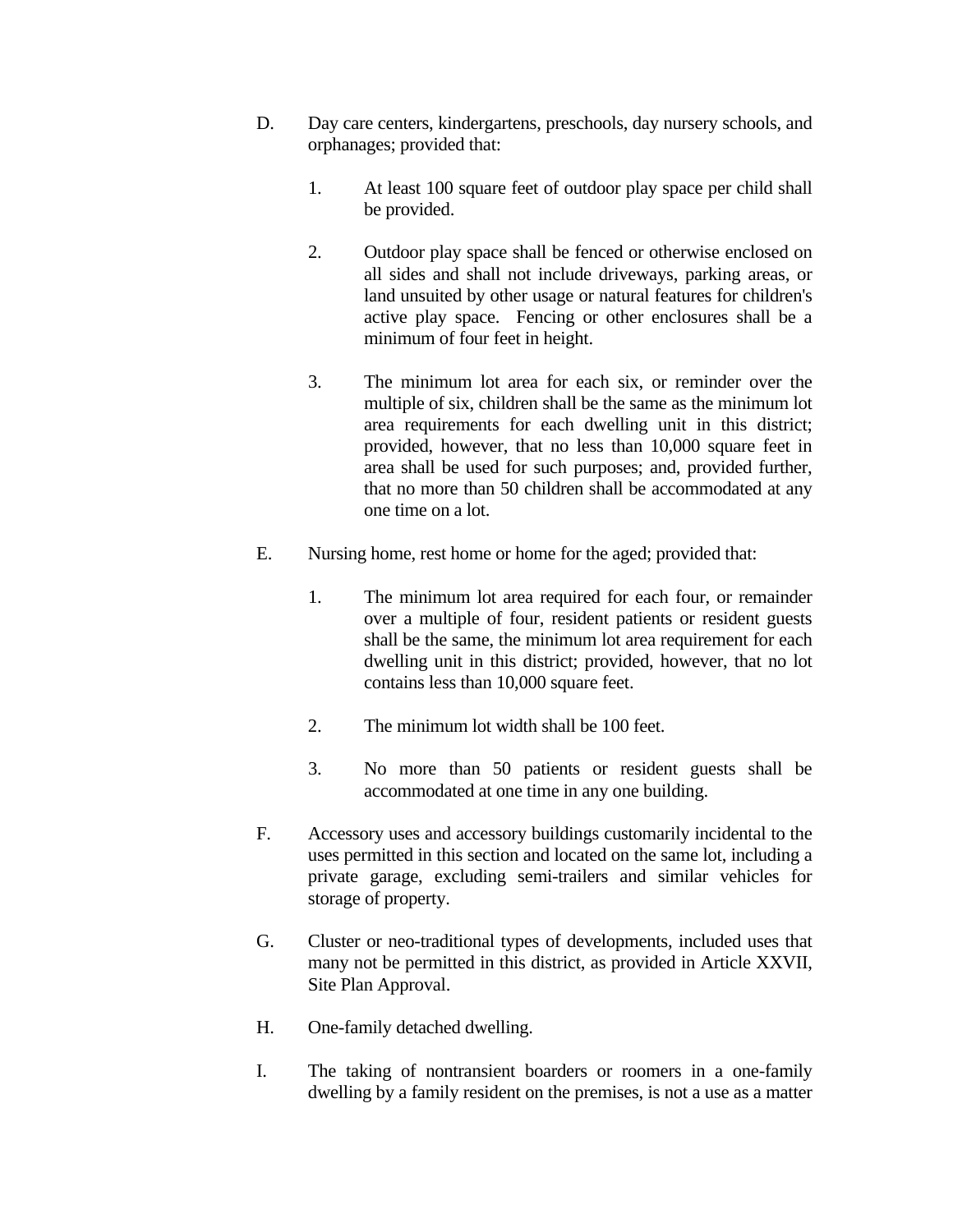- D. Day care centers, kindergartens, preschools, day nursery schools, and orphanages; provided that:
	- 1. At least 100 square feet of outdoor play space per child shall be provided.
	- 2. Outdoor play space shall be fenced or otherwise enclosed on all sides and shall not include driveways, parking areas, or land unsuited by other usage or natural features for children's active play space. Fencing or other enclosures shall be a minimum of four feet in height.
	- 3. The minimum lot area for each six, or reminder over the multiple of six, children shall be the same as the minimum lot area requirements for each dwelling unit in this district; provided, however, that no less than 10,000 square feet in area shall be used for such purposes; and, provided further, that no more than 50 children shall be accommodated at any one time on a lot.
- E. Nursing home, rest home or home for the aged; provided that:
	- 1. The minimum lot area required for each four, or remainder over a multiple of four, resident patients or resident guests shall be the same, the minimum lot area requirement for each dwelling unit in this district; provided, however, that no lot contains less than 10,000 square feet.
	- 2. The minimum lot width shall be 100 feet.
	- 3. No more than 50 patients or resident guests shall be accommodated at one time in any one building.
- F. Accessory uses and accessory buildings customarily incidental to the uses permitted in this section and located on the same lot, including a private garage, excluding semi-trailers and similar vehicles for storage of property.
- G. Cluster or neo-traditional types of developments, included uses that many not be permitted in this district, as provided in Article XXVII, Site Plan Approval.
- H. One-family detached dwelling.
- I. The taking of nontransient boarders or roomers in a one-family dwelling by a family resident on the premises, is not a use as a matter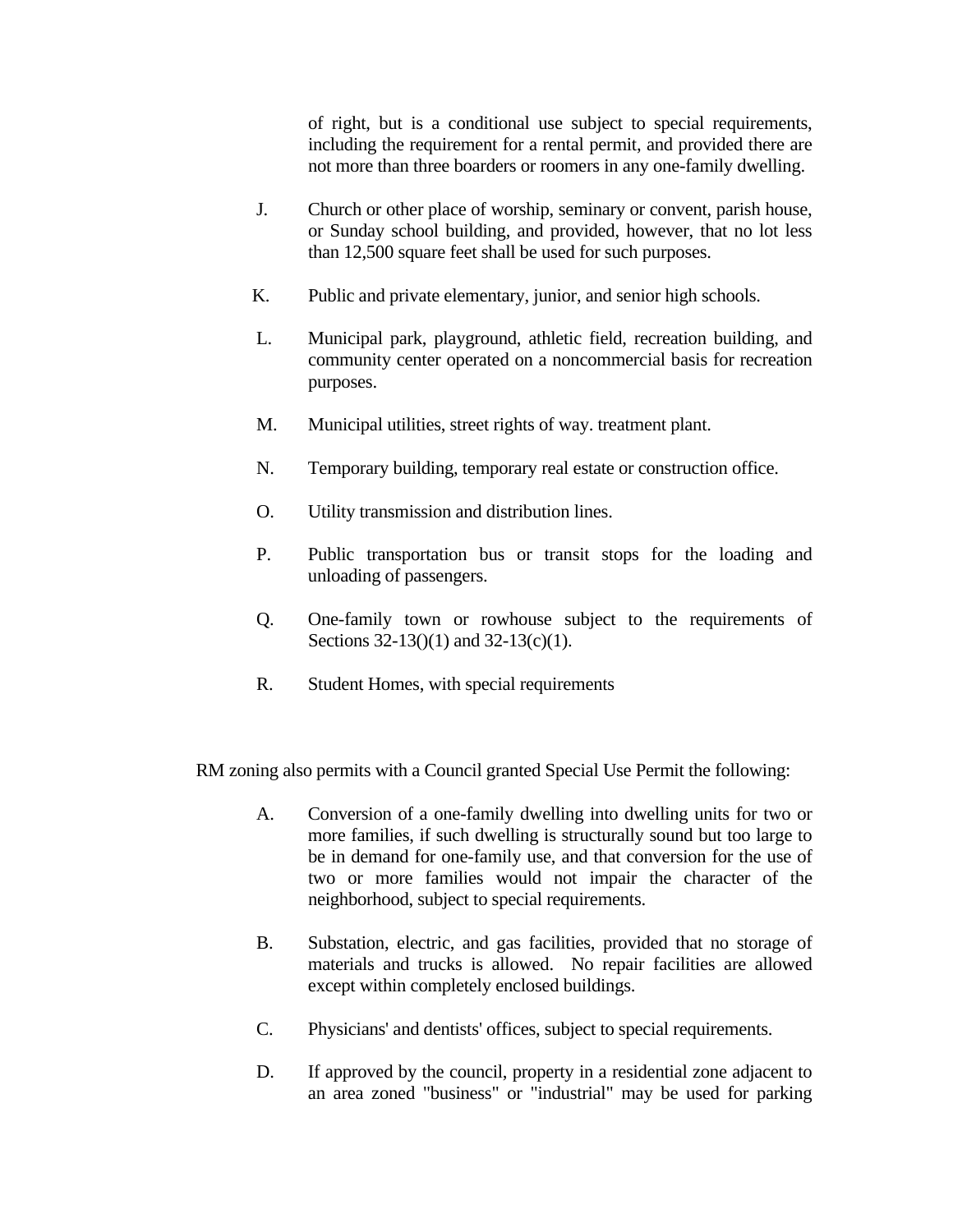of right, but is a conditional use subject to special requirements, including the requirement for a rental permit, and provided there are not more than three boarders or roomers in any one-family dwelling.

- J. Church or other place of worship, seminary or convent, parish house, or Sunday school building, and provided, however, that no lot less than 12,500 square feet shall be used for such purposes.
- K. Public and private elementary, junior, and senior high schools.
- L. Municipal park, playground, athletic field, recreation building, and community center operated on a noncommercial basis for recreation purposes.
- M. Municipal utilities, street rights of way. treatment plant.
- N. Temporary building, temporary real estate or construction office.
- O. Utility transmission and distribution lines.
- P. Public transportation bus or transit stops for the loading and unloading of passengers.
- Q. One-family town or rowhouse subject to the requirements of Sections 32-13()(1) and 32-13(c)(1).
- R. Student Homes, with special requirements

RM zoning also permits with a Council granted Special Use Permit the following:

- A. Conversion of a one-family dwelling into dwelling units for two or more families, if such dwelling is structurally sound but too large to be in demand for one-family use, and that conversion for the use of two or more families would not impair the character of the neighborhood, subject to special requirements.
- B. Substation, electric, and gas facilities, provided that no storage of materials and trucks is allowed. No repair facilities are allowed except within completely enclosed buildings.
- C. Physicians' and dentists' offices, subject to special requirements.
- D. If approved by the council, property in a residential zone adjacent to an area zoned "business" or "industrial" may be used for parking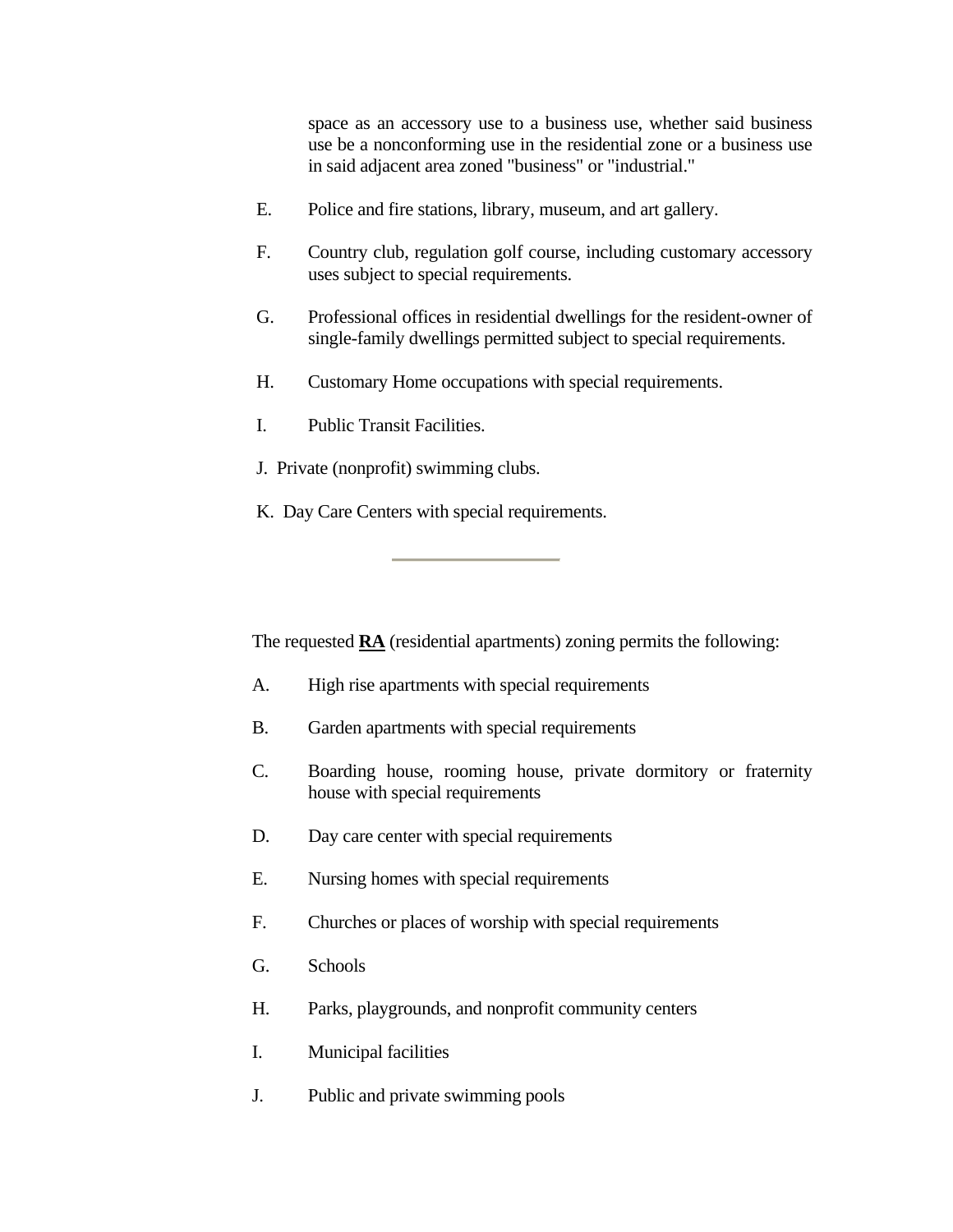space as an accessory use to a business use, whether said business use be a nonconforming use in the residential zone or a business use in said adjacent area zoned "business" or "industrial."

- <span id="page-8-0"></span>E. Police and fire stations, library, museum, and art gallery.
- F. Country club, regulation golf course, including customary accessory uses subject to special requirements.
- G. Professional offices in residential dwellings for the resident-owner of single-family dwellings permitted subject to special requirements.
- H. Customary Home occupations with special requirements.
- I. Public Transit Facilities.
- J. Private (nonprofit) swimming clubs.
- K. Day Care Centers with special requirements.

The requested **RA** (residential apartments) zoning permits the following:

- A. High rise apartments with special requirements
- B. Garden apartments with special requirements
- C. Boarding house, rooming house, private dormitory or fraternity house with special requirements
- D. Day care center with special requirements
- E. Nursing homes with special requirements
- F. Churches or places of worship with special requirements
- G. Schools
- H. Parks, playgrounds, and nonprofit community centers
- I. Municipal facilities
- J. Public and private swimming pools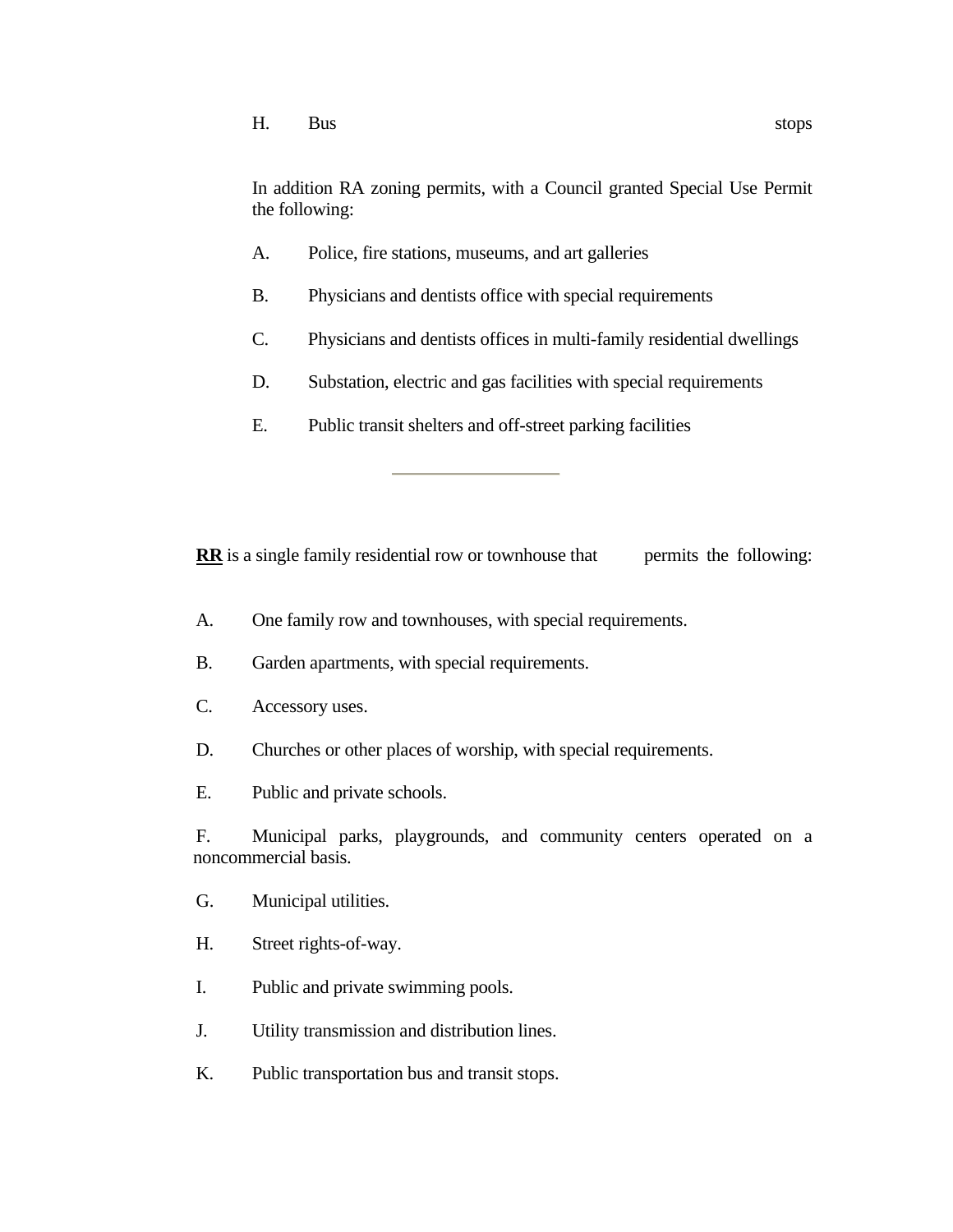<span id="page-9-0"></span>In addition RA zoning permits, with a Council granted Special Use Permit the following:

- A. Police, fire stations, museums, and art galleries
- B. Physicians and dentists office with special requirements
- C. Physicians and dentists offices in multi-family residential dwellings
- D. Substation, electric and gas facilities with special requirements
- E. Public transit shelters and off-street parking facilities

**RR** is a single family residential row or townhouse that permits the following:

- A. One family row and townhouses, with special requirements.
- B. Garden apartments, with special requirements.
- C. Accessory uses.
- D. Churches or other places of worship, with special requirements.
- E. Public and private schools.

 F. Municipal parks, playgrounds, and community centers operated on a noncommercial basis.

- G. Municipal utilities.
- H. Street rights-of-way.
- I. Public and private swimming pools.
- J. Utility transmission and distribution lines.
- K. Public transportation bus and transit stops.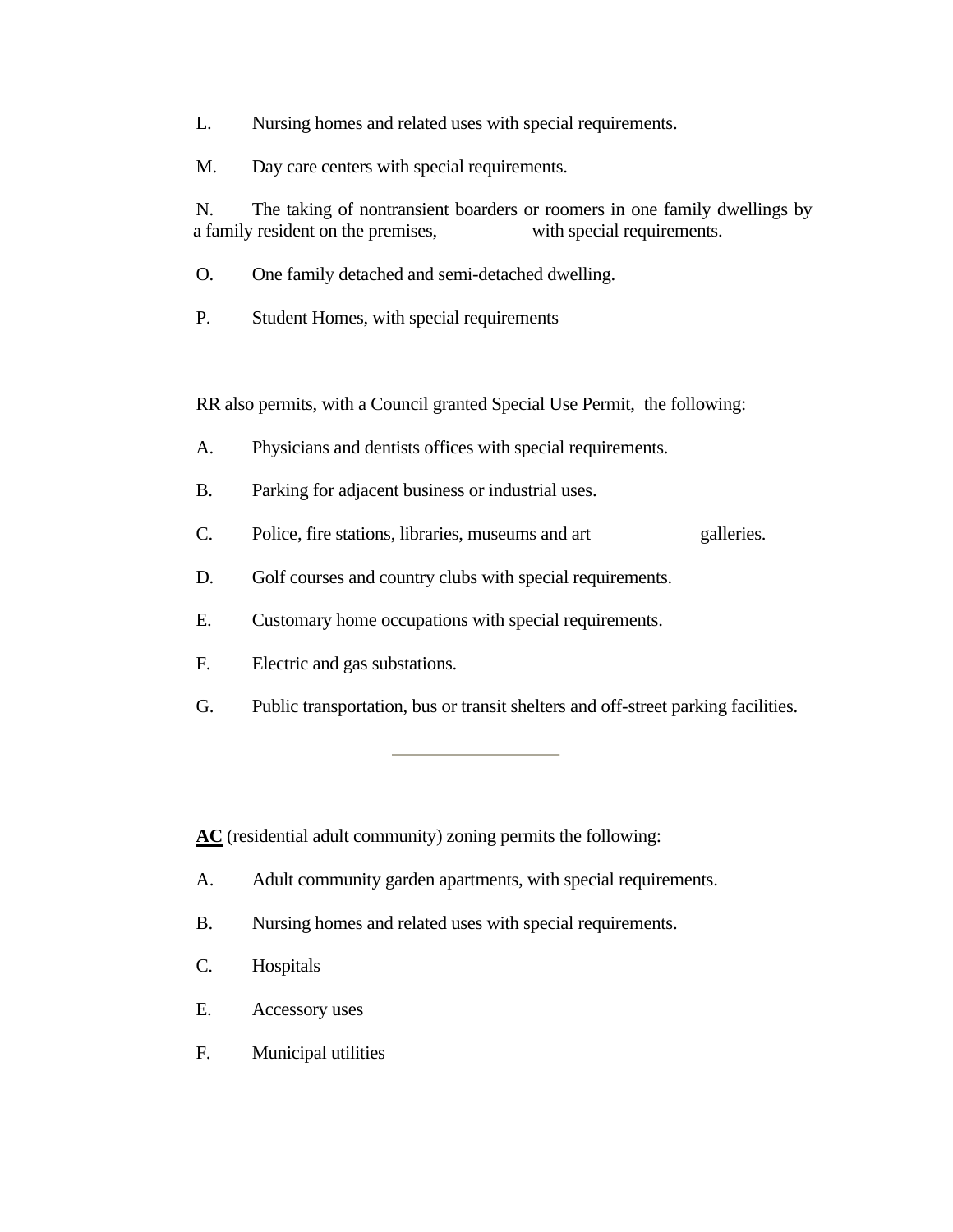- L. Nursing homes and related uses with special requirements.
- M. Day care centers with special requirements.

N. The taking of nontransient boarders or roomers in one family dwellings by a family resident on the premises, with special requirements.

- O. One family detached and semi-detached dwelling.
- P. Student Homes, with special requirements

RR also permits, with a Council granted Special Use Permit, the following:

- A. Physicians and dentists offices with special requirements.
- B. Parking for adjacent business or industrial uses.
- C. Police, fire stations, libraries, museums and art galleries.
- D. Golf courses and country clubs with special requirements.
- E. Customary home occupations with special requirements.
- F. Electric and gas substations.
- G. Public transportation, bus or transit shelters and off-street parking facilities.

**AC** (residential adult community) zoning permits the following:

- A. Adult community garden apartments, with special requirements.
- B. Nursing homes and related uses with special requirements.
- C. Hospitals
- E. Accessory uses
- F. Municipal utilities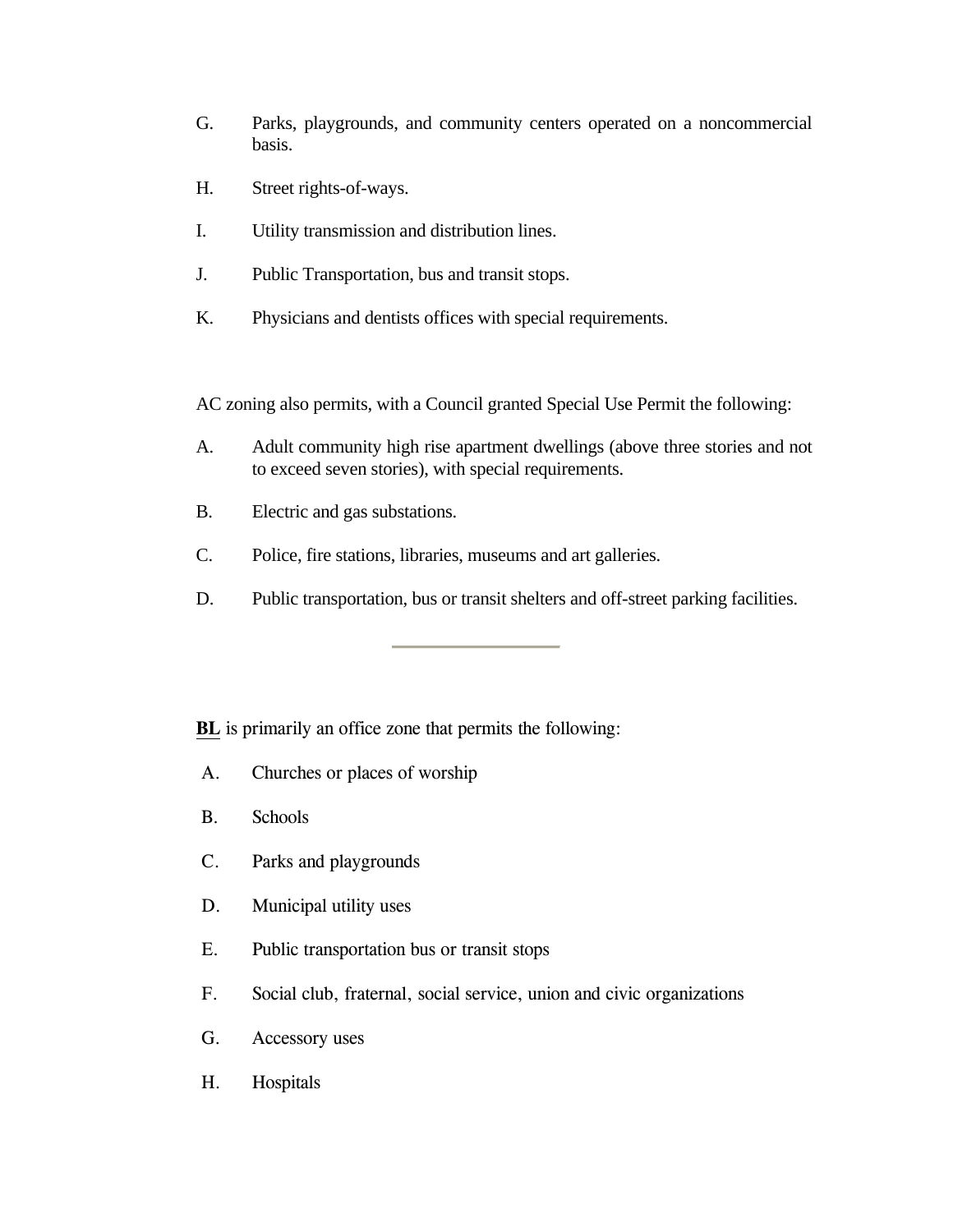- <span id="page-11-0"></span>G. Parks, playgrounds, and community centers operated on a noncommercial basis.
- H. Street rights-of-ways.
- I. Utility transmission and distribution lines.
- J. Public Transportation, bus and transit stops.
- K. Physicians and dentists offices with special requirements.

AC zoning also permits, with a Council granted Special Use Permit the following:

- A. Adult community high rise apartment dwellings (above three stories and not to exceed seven stories), with special requirements.
- B. Electric and gas substations.
- C. Police, fire stations, libraries, museums and art galleries.
- D. Public transportation, bus or transit shelters and off-street parking facilities.

**BL** is primarily an office zone that permits the following:

- A. Churches or places of worship
- B. Schools
- C. Parks and playgrounds
- D. Municipal utility uses
- E. Public transportation bus or transit stops
- F. Social club, fraternal, social service, union and civic organizations
- G. Accessory uses
- H. Hospitals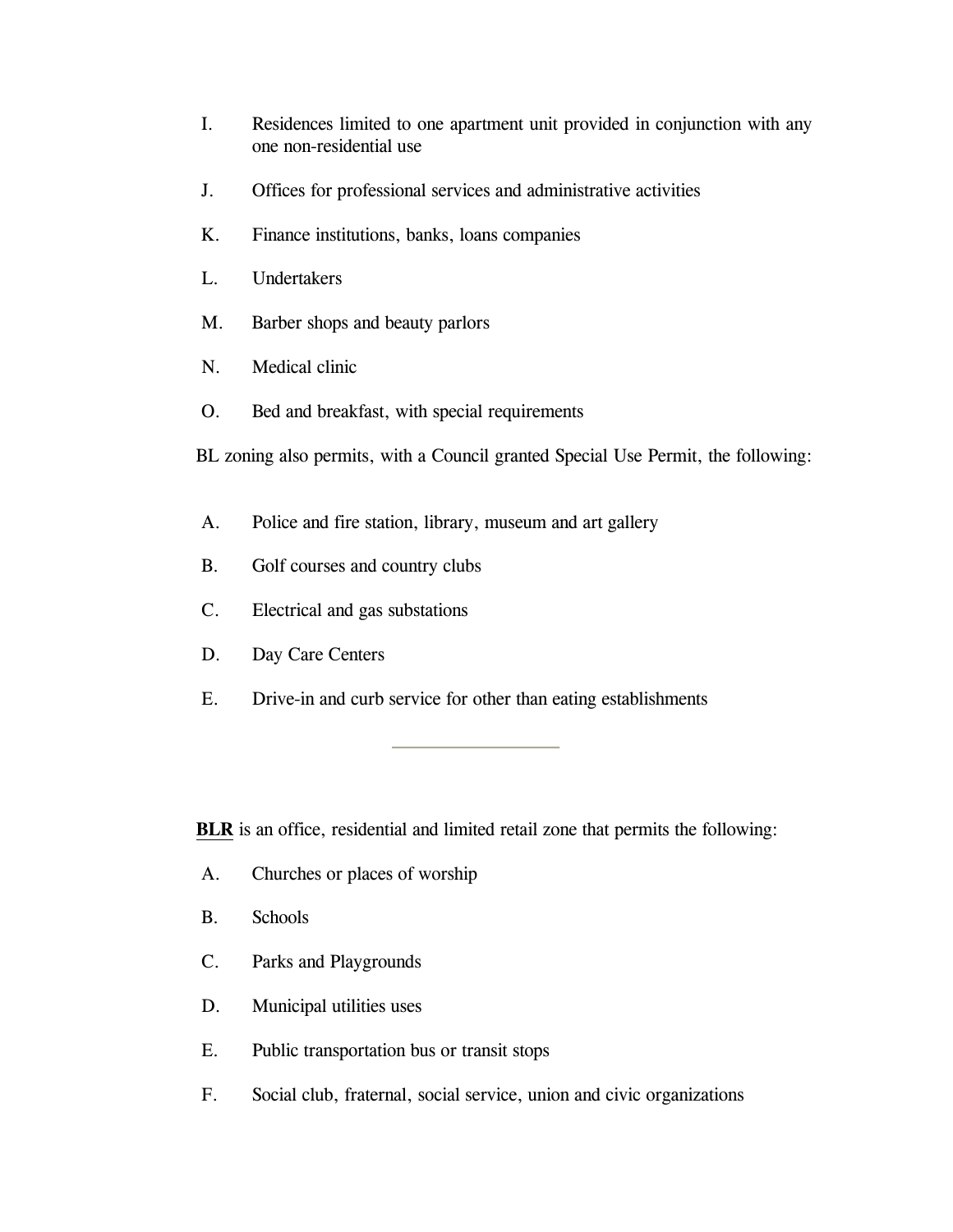- <span id="page-12-0"></span>I. Residences limited to one apartment unit provided in conjunction with any one non-residential use
- J. Offices for professional services and administrative activities
- K. Finance institutions, banks, loans companies
- L. Undertakers
- M. Barber shops and beauty parlors
- N. Medical clinic
- O. Bed and breakfast, with special requirements
- BL zoning also permits, with a Council granted Special Use Permit, the following:
- A. Police and fire station, library, museum and art gallery
- B. Golf courses and country clubs
- C. Electrical and gas substations
- D. Day Care Centers
- E. Drive-in and curb service for other than eating establishments

**BLR** is an office, residential and limited retail zone that permits the following:

- A. Churches or places of worship
- B. Schools
- C. Parks and Playgrounds
- D. Municipal utilities uses
- E. Public transportation bus or transit stops
- F. Social club, fraternal, social service, union and civic organizations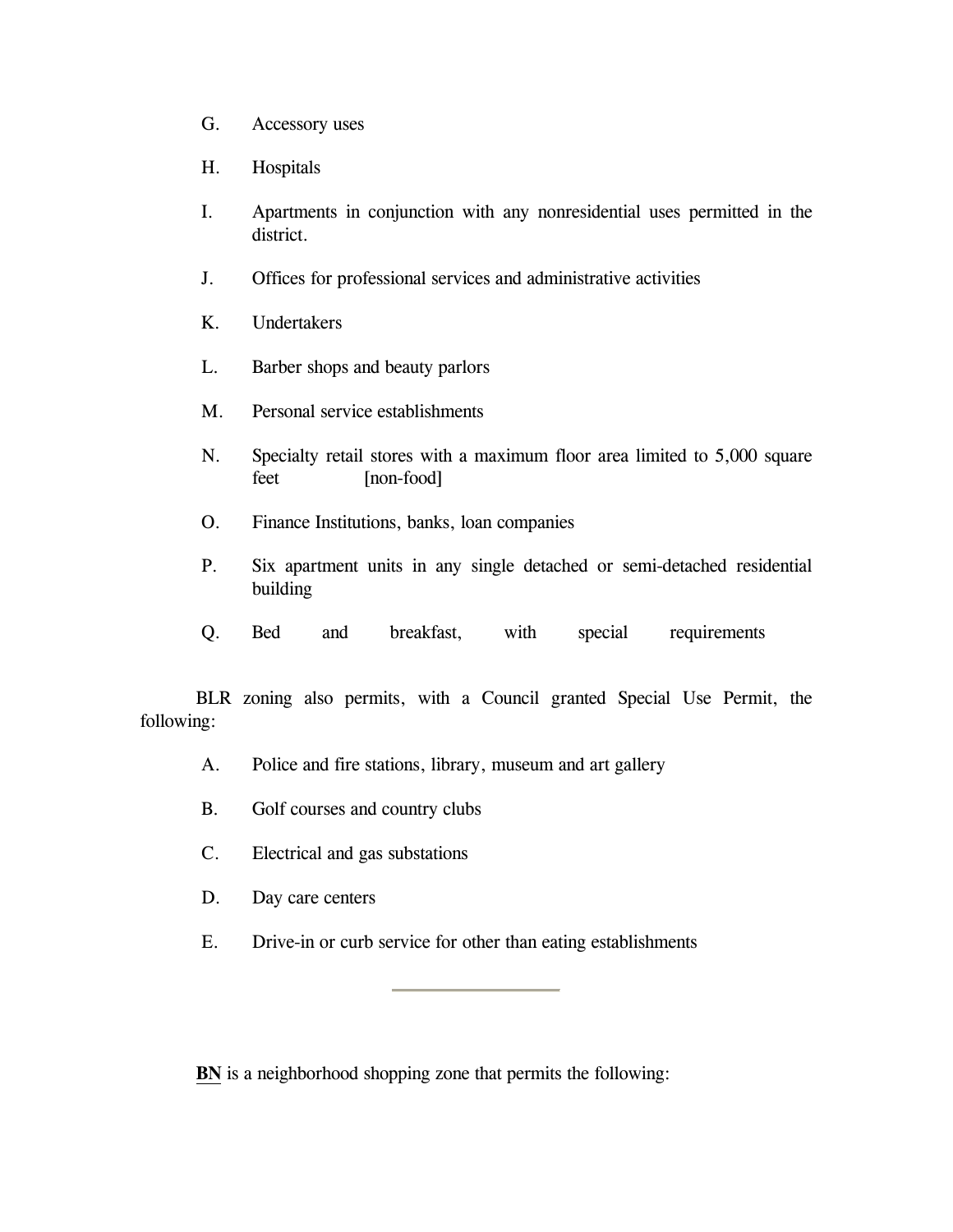- G. Accessory uses
- H. Hospitals
- I. Apartments in conjunction with any nonresidential uses permitted in the district.
- J. Offices for professional services and administrative activities
- K. Undertakers
- L. Barber shops and beauty parlors
- M. Personal service establishments
- N. Specialty retail stores with a maximum floor area limited to 5,000 square feet [non-food]
- O. Finance Institutions, banks, loan companies
- P. Six apartment units in any single detached or semi-detached residential building
- Q. Bed and breakfast, with special requirements

BLR zoning also permits, with a Council granted Special Use Permit, the following:

- A. Police and fire stations, library, museum and art gallery
- B. Golf courses and country clubs
- C. Electrical and gas substations
- D. Day care centers
- E. Drive-in or curb service for other than eating establishments

**BN** is a neighborhood shopping zone that permits the following: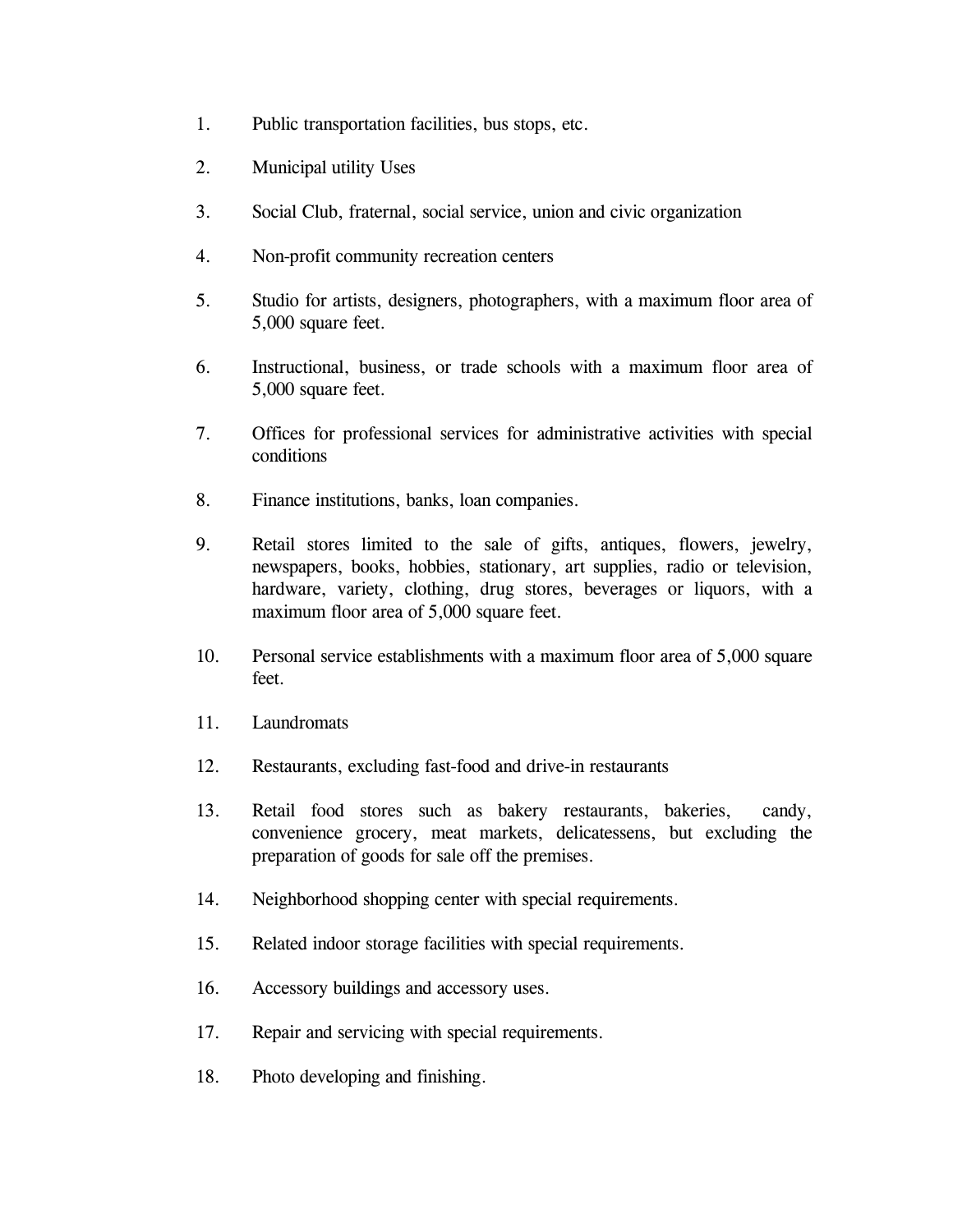- <span id="page-14-0"></span>1. Public transportation facilities, bus stops, etc.
- 2. Municipal utility Uses
- 3. Social Club, fraternal, social service, union and civic organization
- 4. Non-profit community recreation centers
- 5. Studio for artists, designers, photographers, with a maximum floor area of 5,000 square feet.
- 6. Instructional, business, or trade schools with a maximum floor area of 5,000 square feet.
- 7. Offices for professional services for administrative activities with special conditions
- 8. Finance institutions, banks, loan companies.
- 9. Retail stores limited to the sale of gifts, antiques, flowers, jewelry, newspapers, books, hobbies, stationary, art supplies, radio or television, hardware, variety, clothing, drug stores, beverages or liquors, with a maximum floor area of 5,000 square feet.
- 10. Personal service establishments with a maximum floor area of 5,000 square feet.
- 11. Laundromats
- 12. Restaurants, excluding fast-food and drive-in restaurants
- 13. Retail food stores such as bakery restaurants, bakeries, candy, convenience grocery, meat markets, delicatessens, but excluding the preparation of goods for sale off the premises.
- 14. Neighborhood shopping center with special requirements.
- 15. Related indoor storage facilities with special requirements.
- 16. Accessory buildings and accessory uses.
- 17. Repair and servicing with special requirements.
- 18. Photo developing and finishing.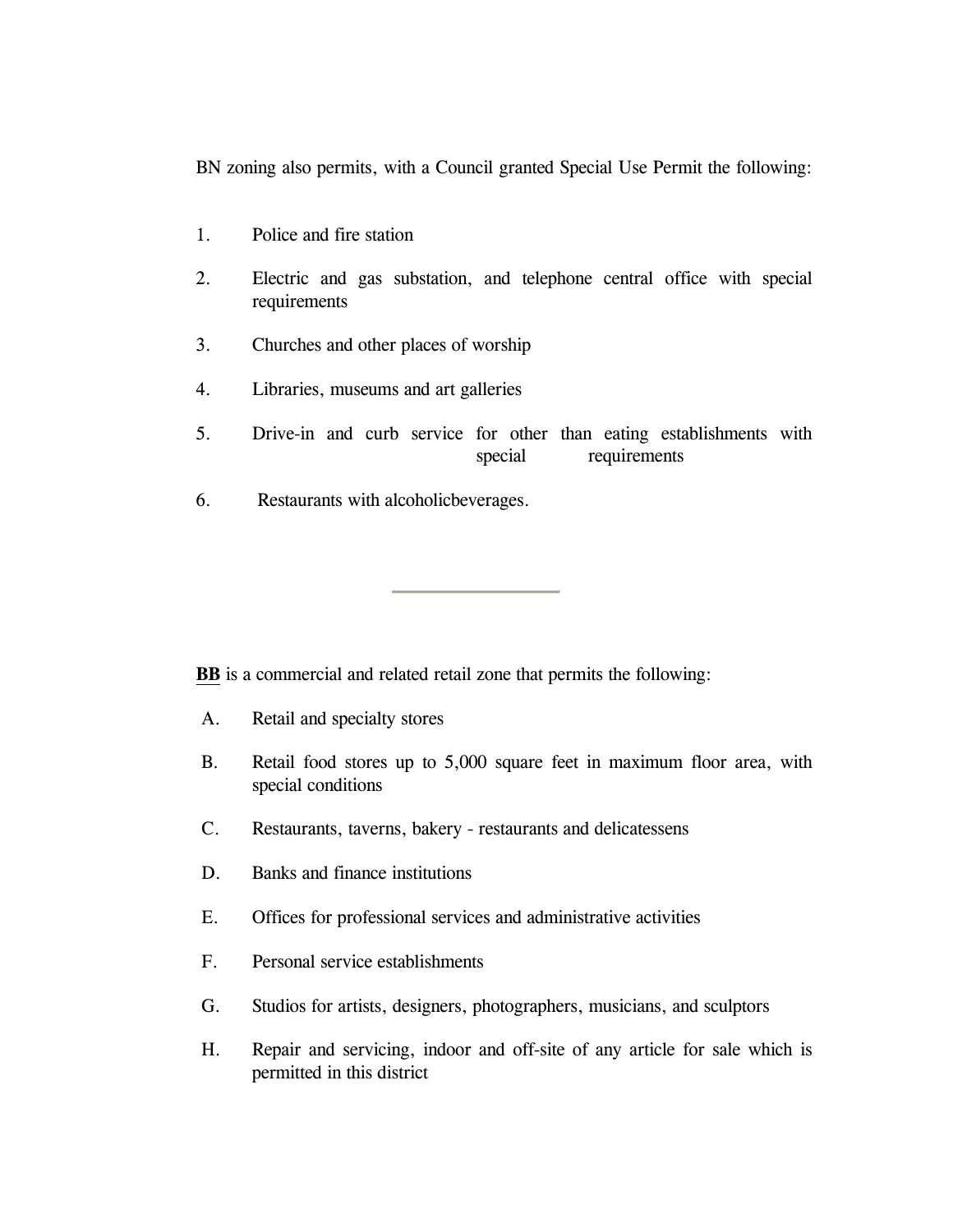<span id="page-15-0"></span>BN zoning also permits, with a Council granted Special Use Permit the following:

- 1. Police and fire station
- 2. Electric and gas substation, and telephone central office with special requirements
- 3. Churches and other places of worship
- 4. Libraries, museums and art galleries
- 5. Drive-in and curb service for other than eating establishments with special requirements
- 6. Restaurants with alcoholicbeverages.

**BB** is a commercial and related retail zone that permits the following:

- A. Retail and specialty stores
- B. Retail food stores up to 5,000 square feet in maximum floor area, with special conditions
- C. Restaurants, taverns, bakery restaurants and delicatessens
- D. Banks and finance institutions
- E. Offices for professional services and administrative activities
- F. Personal service establishments
- G. Studios for artists, designers, photographers, musicians, and sculptors
- H. Repair and servicing, indoor and off-site of any article for sale which is permitted in this district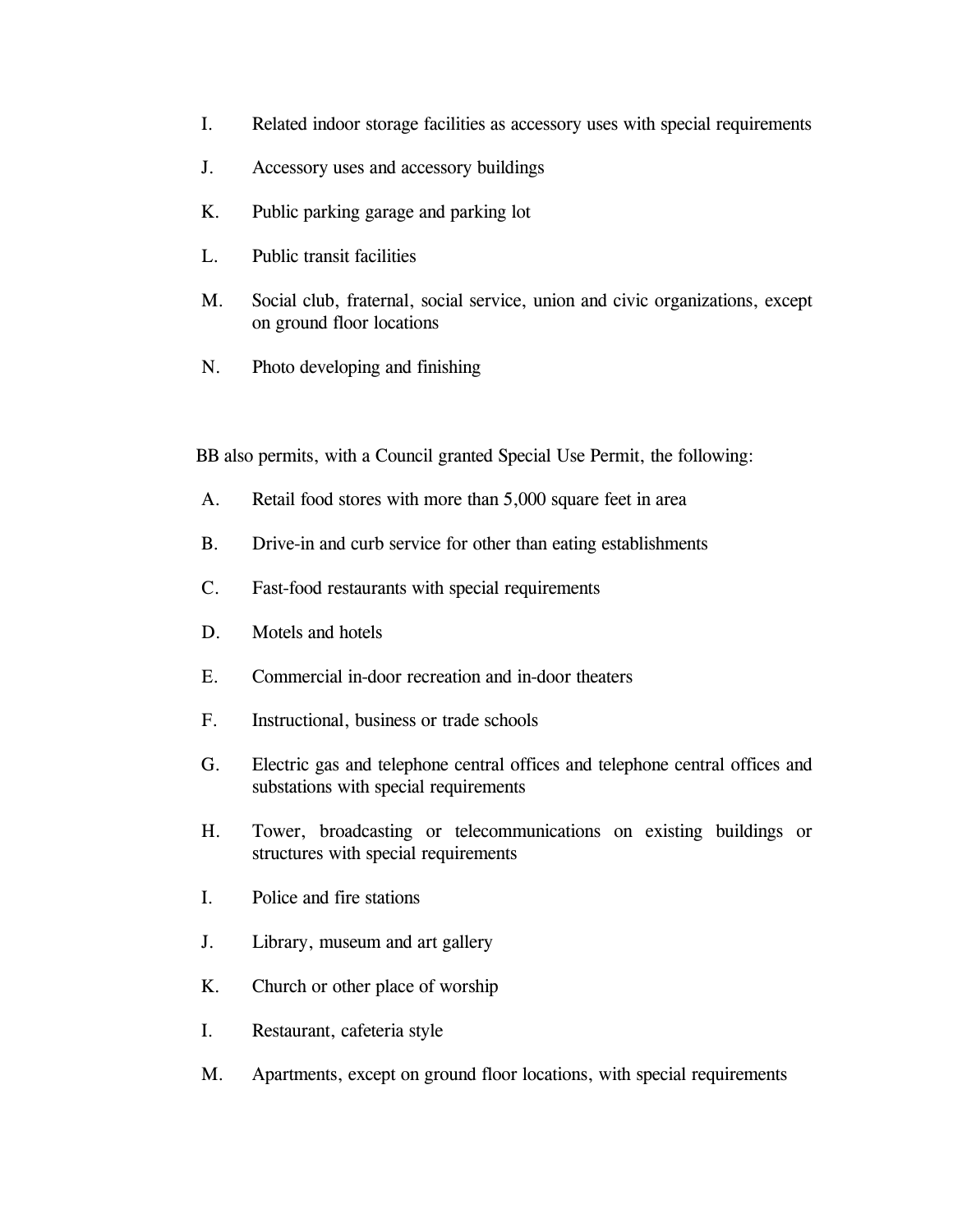- I. Related indoor storage facilities as accessory uses with special requirements
- J. Accessory uses and accessory buildings
- K. Public parking garage and parking lot
- L. Public transit facilities
- M. Social club, fraternal, social service, union and civic organizations, except on ground floor locations
- N. Photo developing and finishing

BB also permits, with a Council granted Special Use Permit, the following:

- A. Retail food stores with more than 5,000 square feet in area
- B. Drive-in and curb service for other than eating establishments
- C. Fast-food restaurants with special requirements
- D. Motels and hotels
- E. Commercial in-door recreation and in-door theaters
- F. Instructional, business or trade schools
- G. Electric gas and telephone central offices and telephone central offices and substations with special requirements
- H. Tower, broadcasting or telecommunications on existing buildings or structures with special requirements
- I. Police and fire stations
- J. Library, museum and art gallery
- K. Church or other place of worship
- I. Restaurant, cafeteria style
- M. Apartments, except on ground floor locations, with special requirements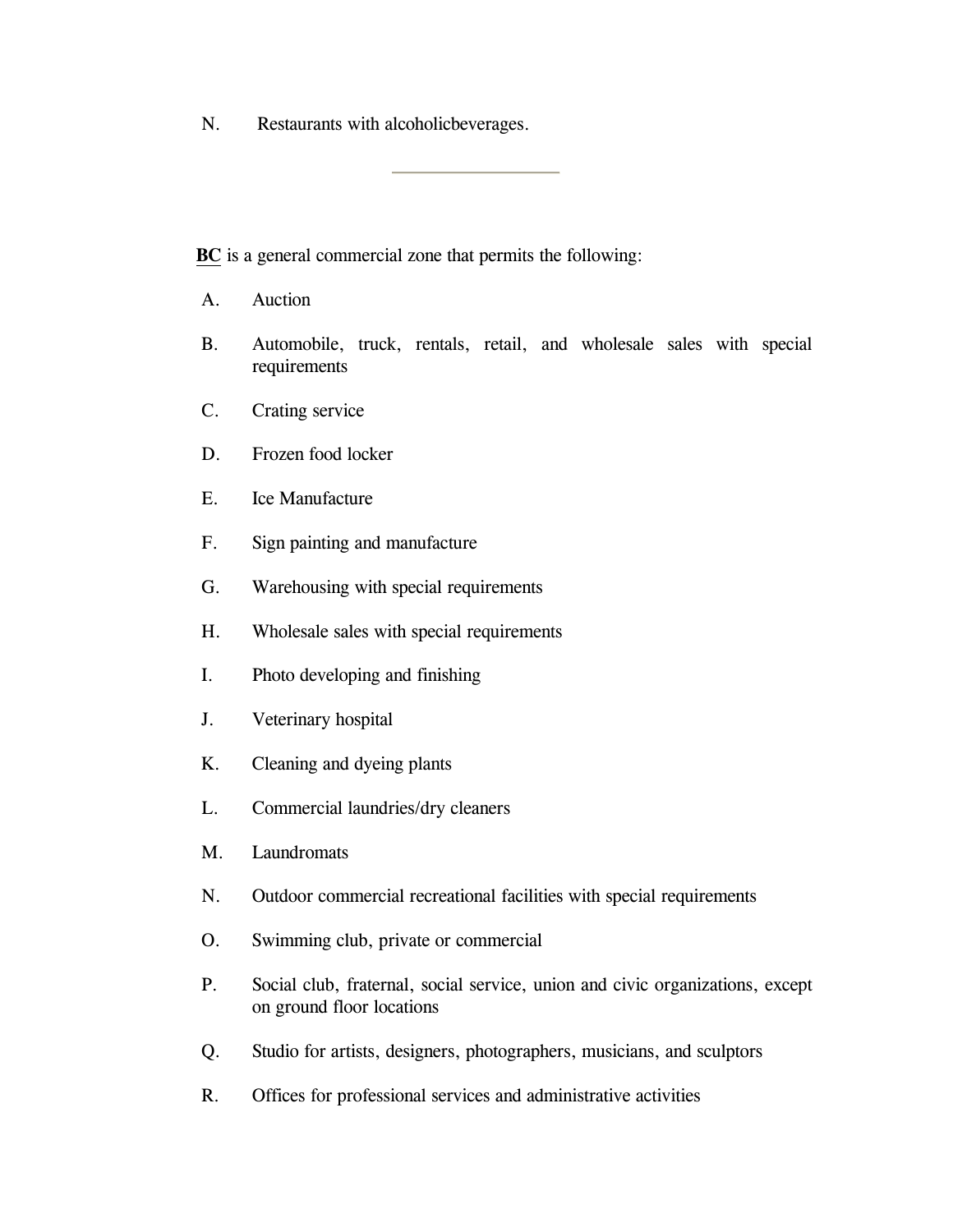<span id="page-17-0"></span>N. Restaurants with alcoholicbeverages.

**BC** is a general commercial zone that permits the following:

- A. Auction
- B. Automobile, truck, rentals, retail, and wholesale sales with special requirements
- C. Crating service
- D. Frozen food locker
- E. Ice Manufacture
- F. Sign painting and manufacture
- G. Warehousing with special requirements
- H. Wholesale sales with special requirements
- I. Photo developing and finishing
- J. Veterinary hospital
- K. Cleaning and dyeing plants
- L. Commercial laundries/dry cleaners
- M. Laundromats
- N. Outdoor commercial recreational facilities with special requirements
- O. Swimming club, private or commercial
- P. Social club, fraternal, social service, union and civic organizations, except on ground floor locations
- Q. Studio for artists, designers, photographers, musicians, and sculptors
- R. Offices for professional services and administrative activities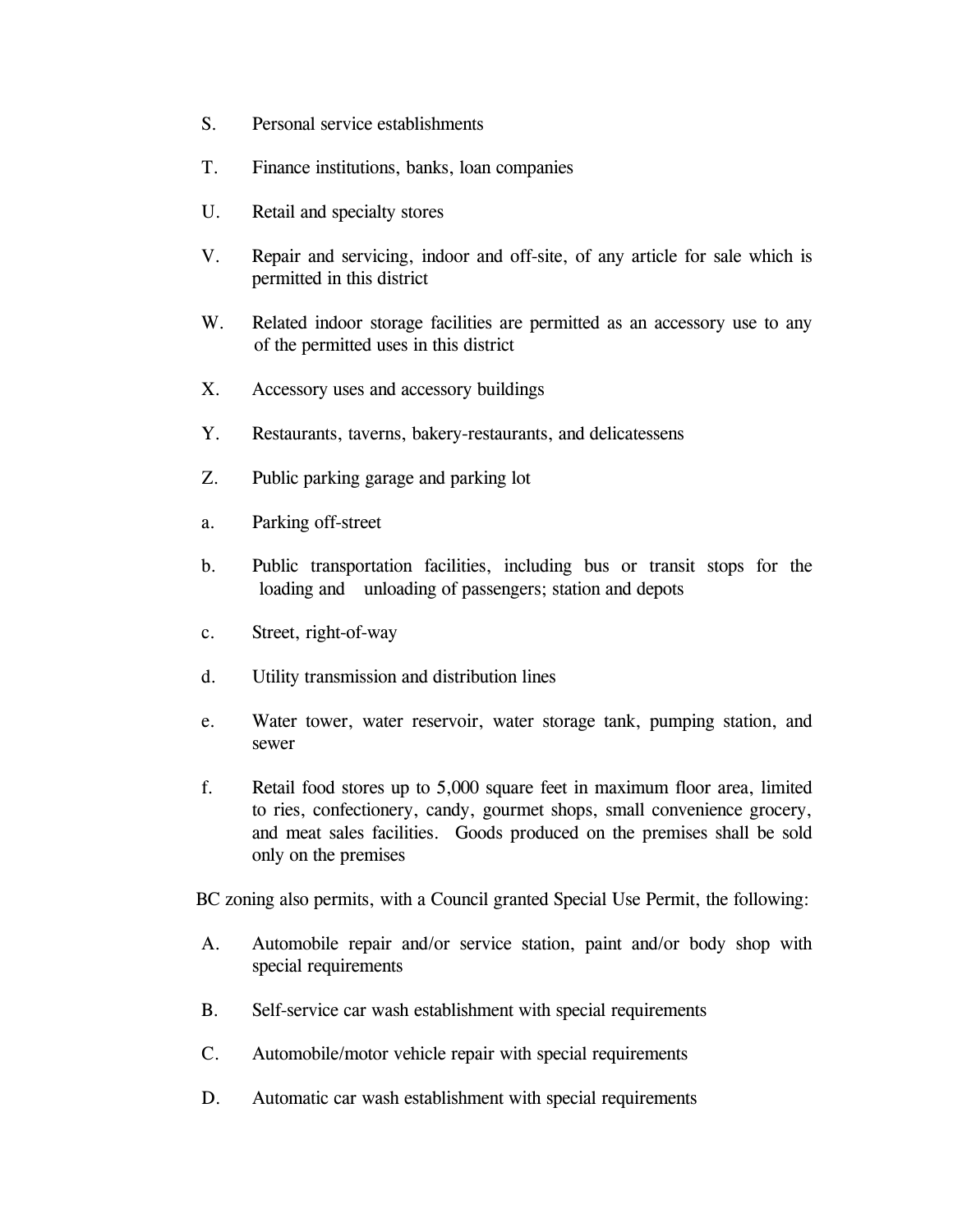- S. Personal service establishments
- T. Finance institutions, banks, loan companies
- U. Retail and specialty stores
- V. Repair and servicing, indoor and off-site, of any article for sale which is permitted in this district
- W. Related indoor storage facilities are permitted as an accessory use to any of the permitted uses in this district
- X. Accessory uses and accessory buildings
- Y. Restaurants, taverns, bakery-restaurants, and delicatessens
- Z. Public parking garage and parking lot
- a. Parking off-street
- b. Public transportation facilities, including bus or transit stops for the loading and unloading of passengers; station and depots
- c. Street, right-of-way
- d. Utility transmission and distribution lines
- e. Water tower, water reservoir, water storage tank, pumping station, and sewer
- f. Retail food stores up to 5,000 square feet in maximum floor area, limited to ries, confectionery, candy, gourmet shops, small convenience grocery, and meat sales facilities. Goods produced on the premises shall be sold only on the premises

BC zoning also permits, with a Council granted Special Use Permit, the following:

- A. Automobile repair and/or service station, paint and/or body shop with special requirements
- B. Self-service car wash establishment with special requirements
- C. Automobile/motor vehicle repair with special requirements
- D. Automatic car wash establishment with special requirements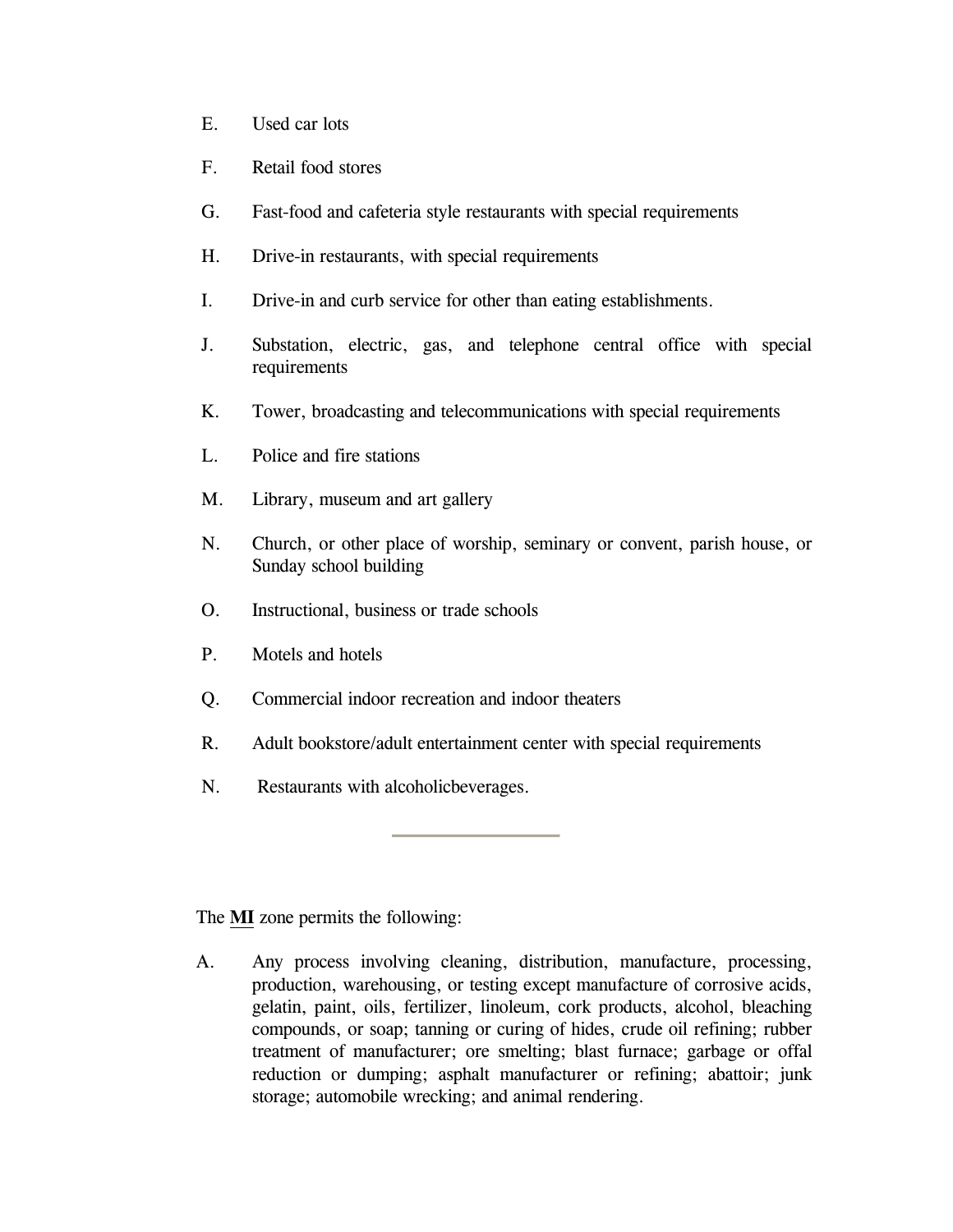- E. Used car lots
- F. Retail food stores
- G. Fast-food and cafeteria style restaurants with special requirements
- H. Drive-in restaurants, with special requirements
- I. Drive-in and curb service for other than eating establishments.
- J. Substation, electric, gas, and telephone central office with special requirements
- K. Tower, broadcasting and telecommunications with special requirements
- L. Police and fire stations
- M. Library, museum and art gallery
- N. Church, or other place of worship, seminary or convent, parish house, or Sunday school building
- O. Instructional, business or trade schools
- P. Motels and hotels
- Q. Commercial indoor recreation and indoor theaters
- R. Adult bookstore/adult entertainment center with special requirements
- N. Restaurants with alcoholicbeverages.

The **MI** zone permits the following:

 A. Any process involving cleaning, distribution, manufacture, processing, production, warehousing, or testing except manufacture of corrosive acids, gelatin, paint, oils, fertilizer, linoleum, cork products, alcohol, bleaching compounds, or soap; tanning or curing of hides, crude oil refining; rubber treatment of manufacturer; ore smelting; blast furnace; garbage or offal reduction or dumping; asphalt manufacturer or refining; abattoir; junk storage; automobile wrecking; and animal rendering.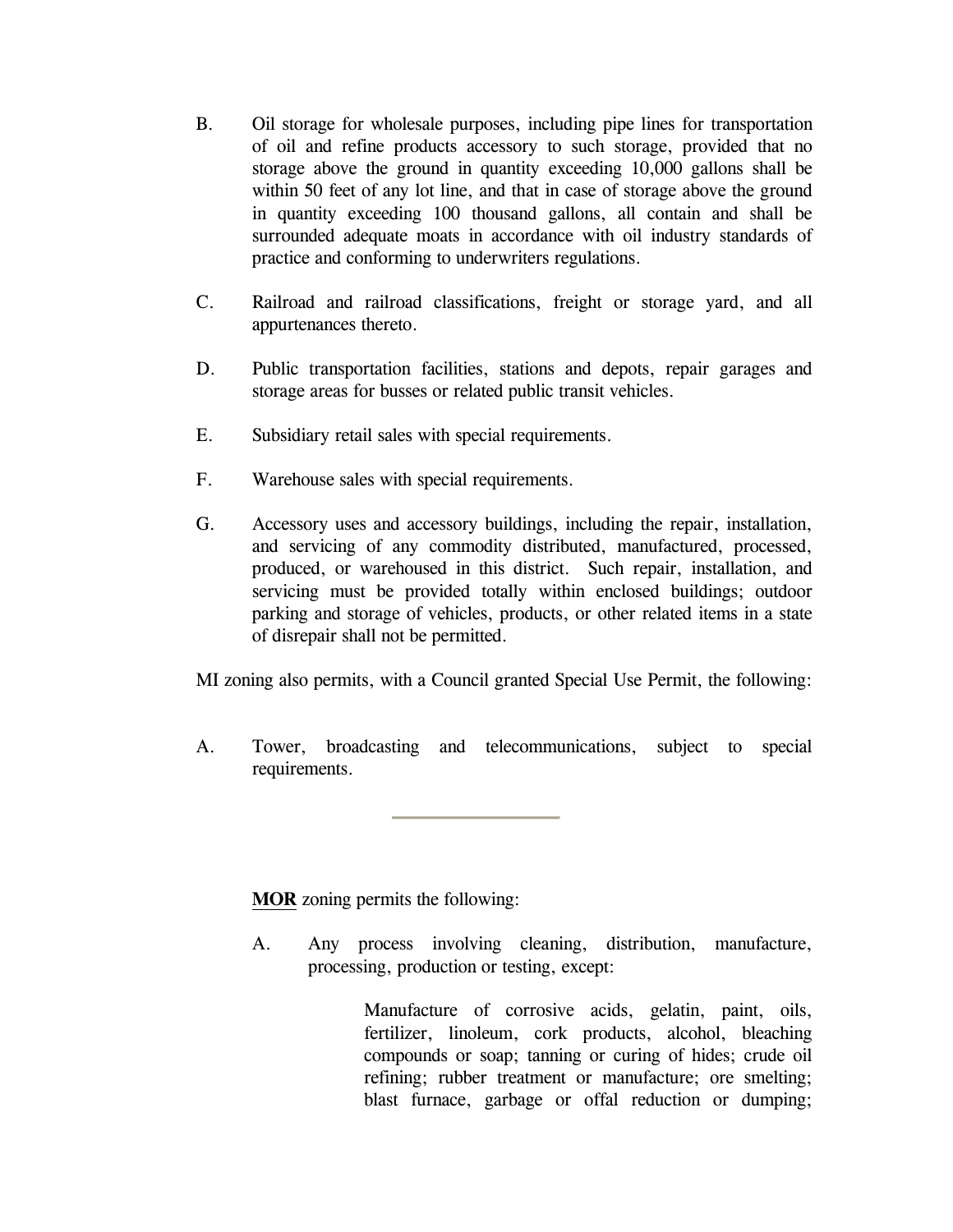- <span id="page-20-0"></span>B. Oil storage for wholesale purposes, including pipe lines for transportation of oil and refine products accessory to such storage, provided that no storage above the ground in quantity exceeding 10,000 gallons shall be within 50 feet of any lot line, and that in case of storage above the ground in quantity exceeding 100 thousand gallons, all contain and shall be surrounded adequate moats in accordance with oil industry standards of practice and conforming to underwriters regulations.
- C. Railroad and railroad classifications, freight or storage yard, and all appurtenances thereto.
- D. Public transportation facilities, stations and depots, repair garages and storage areas for busses or related public transit vehicles.
- E. Subsidiary retail sales with special requirements.
- F. Warehouse sales with special requirements.
- G. Accessory uses and accessory buildings, including the repair, installation, and servicing of any commodity distributed, manufactured, processed, produced, or warehoused in this district. Such repair, installation, and servicing must be provided totally within enclosed buildings; outdoor parking and storage of vehicles, products, or other related items in a state of disrepair shall not be permitted.

MI zoning also permits, with a Council granted Special Use Permit, the following:

A. Tower, broadcasting and telecommunications, subject to special requirements.

**MOR** zoning permits the following:

A. Any process involving cleaning, distribution, manufacture, processing, production or testing, except:

> Manufacture of corrosive acids, gelatin, paint, oils, fertilizer, linoleum, cork products, alcohol, bleaching compounds or soap; tanning or curing of hides; crude oil refining; rubber treatment or manufacture; ore smelting; blast furnace, garbage or offal reduction or dumping;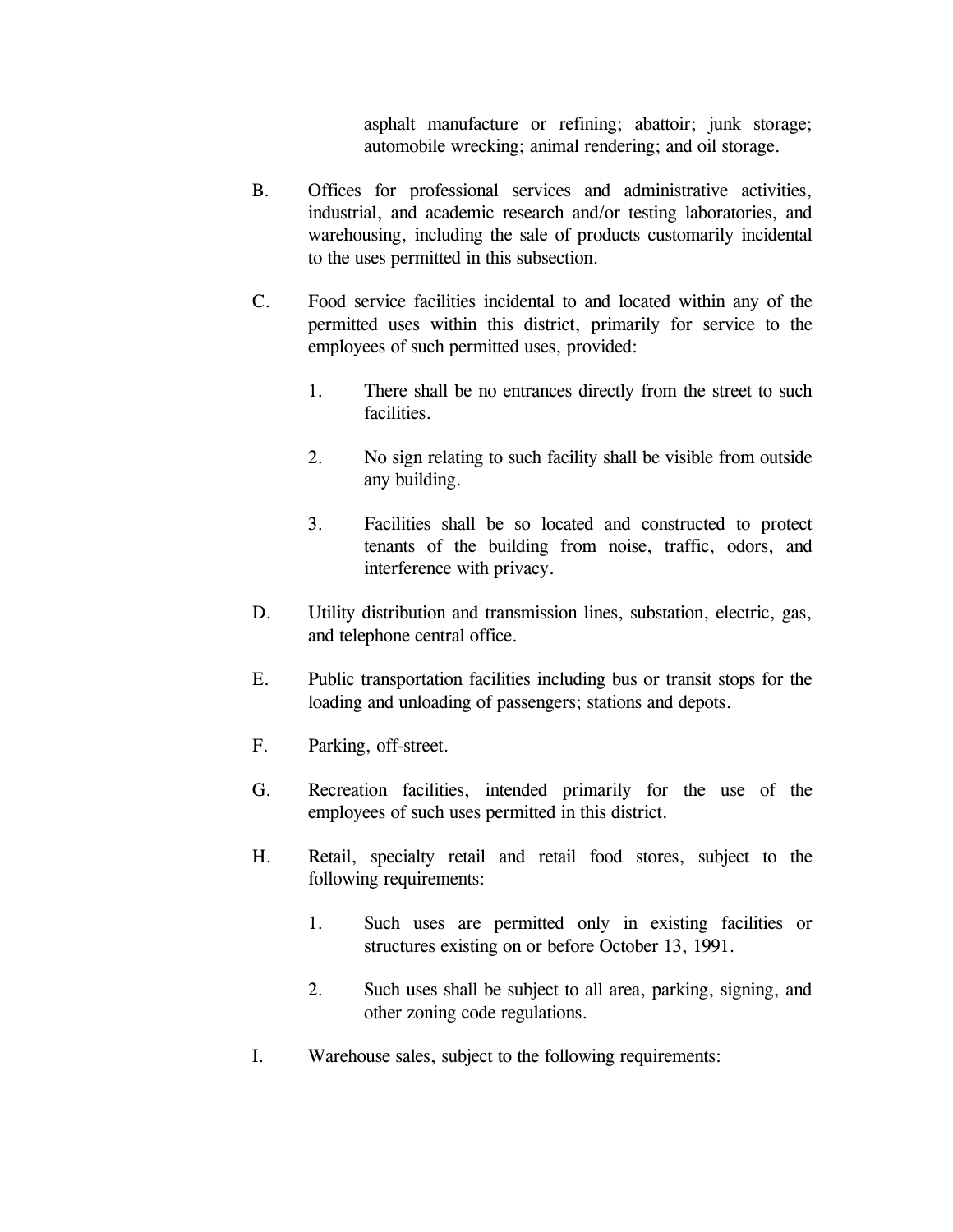asphalt manufacture or refining; abattoir; junk storage; automobile wrecking; animal rendering; and oil storage.

- <span id="page-21-0"></span> B. Offices for professional services and administrative activities, industrial, and academic research and/or testing laboratories, and warehousing, including the sale of products customarily incidental to the uses permitted in this subsection.
- C. Food service facilities incidental to and located within any of the permitted uses within this district, primarily for service to the employees of such permitted uses, provided:
	- 1. There shall be no entrances directly from the street to such facilities.
	- 2. No sign relating to such facility shall be visible from outside any building.
	- 3. Facilities shall be so located and constructed to protect tenants of the building from noise, traffic, odors, and interference with privacy.
- D. Utility distribution and transmission lines, substation, electric, gas, and telephone central office.
- E. Public transportation facilities including bus or transit stops for the loading and unloading of passengers; stations and depots.
- F. Parking, off-street.
- G. Recreation facilities, intended primarily for the use of the employees of such uses permitted in this district.
- H. Retail, specialty retail and retail food stores, subject to the following requirements:
	- 1. Such uses are permitted only in existing facilities or structures existing on or before October 13, 1991.
	- 2. Such uses shall be subject to all area, parking, signing, and other zoning code regulations.
- I. Warehouse sales, subject to the following requirements: